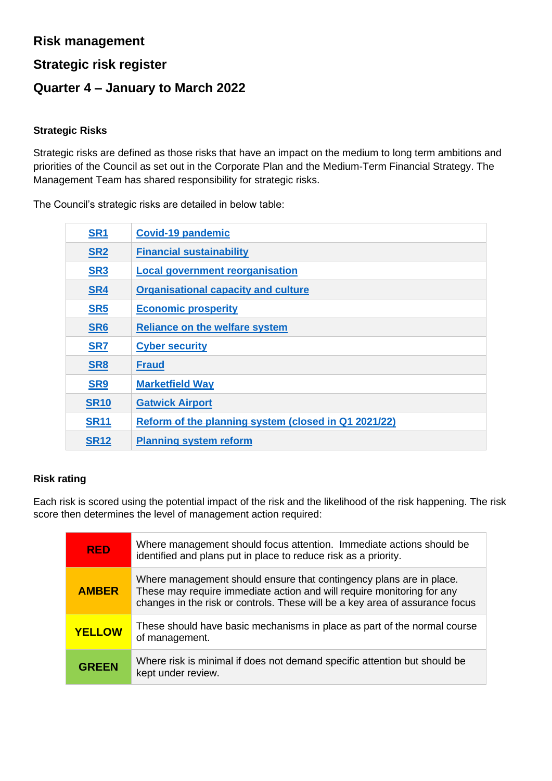## **Risk management**

## **Strategic risk register**

## **Quarter 4 – January to March 2022**

#### **Strategic Risks**

Strategic risks are defined as those risks that have an impact on the medium to long term ambitions and priorities of the Council as set out in the Corporate Plan and the Medium-Term Financial Strategy. The Management Team has shared responsibility for strategic risks.

The Council's strategic risks are detailed in below table:

| SR <sub>1</sub> | <b>Covid-19 pandemic</b>                             |
|-----------------|------------------------------------------------------|
| SR <sub>2</sub> | <b>Financial sustainability</b>                      |
| SR <sub>3</sub> | <b>Local government reorganisation</b>               |
| SR4             | <b>Organisational capacity and culture</b>           |
| SR <sub>5</sub> | <b>Economic prosperity</b>                           |
| SR <sub>6</sub> | <b>Reliance on the welfare system</b>                |
| SR7             | <b>Cyber security</b>                                |
| SR <sub>8</sub> | <b>Fraud</b>                                         |
| SR <sub>9</sub> | <b>Marketfield Way</b>                               |
| <b>SR10</b>     | <b>Gatwick Airport</b>                               |
| <b>SR11</b>     | Reform of the planning system (closed in Q1 2021/22) |
| <b>SR12</b>     | <b>Planning system reform</b>                        |

### **Risk rating**

Each risk is scored using the potential impact of the risk and the likelihood of the risk happening. The risk score then determines the level of management action required:

| <b>RFD</b>    | Where management should focus attention. Immediate actions should be<br>identified and plans put in place to reduce risk as a priority.                                                                                       |
|---------------|-------------------------------------------------------------------------------------------------------------------------------------------------------------------------------------------------------------------------------|
| <b>AMBER</b>  | Where management should ensure that contingency plans are in place.<br>These may require immediate action and will require monitoring for any<br>changes in the risk or controls. These will be a key area of assurance focus |
| <b>YELLOW</b> | These should have basic mechanisms in place as part of the normal course<br>of management.                                                                                                                                    |
| <b>GREEN</b>  | Where risk is minimal if does not demand specific attention but should be<br>kept under review.                                                                                                                               |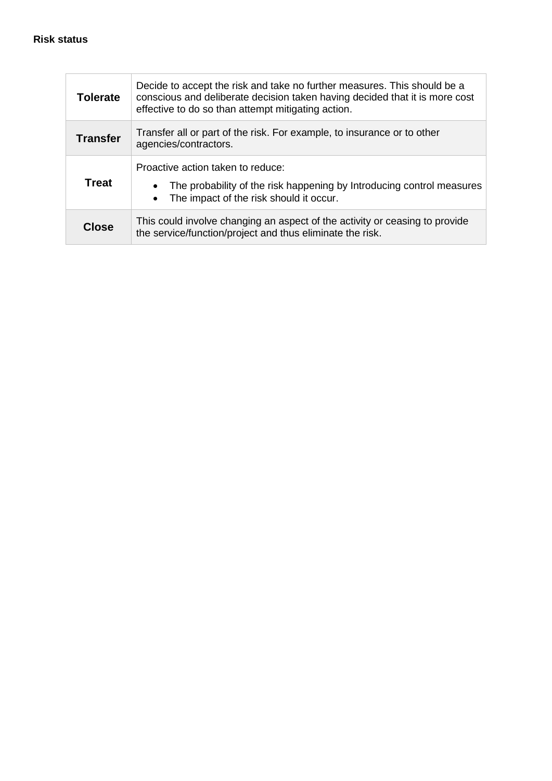| <b>Tolerate</b> | Decide to accept the risk and take no further measures. This should be a<br>conscious and deliberate decision taken having decided that it is more cost<br>effective to do so than attempt mitigating action. |
|-----------------|---------------------------------------------------------------------------------------------------------------------------------------------------------------------------------------------------------------|
| <b>Transfer</b> | Transfer all or part of the risk. For example, to insurance or to other<br>agencies/contractors.                                                                                                              |
| <b>Treat</b>    | Proactive action taken to reduce:<br>The probability of the risk happening by Introducing control measures<br>The impact of the risk should it occur.                                                         |
| Close           | This could involve changing an aspect of the activity or ceasing to provide<br>the service/function/project and thus eliminate the risk.                                                                      |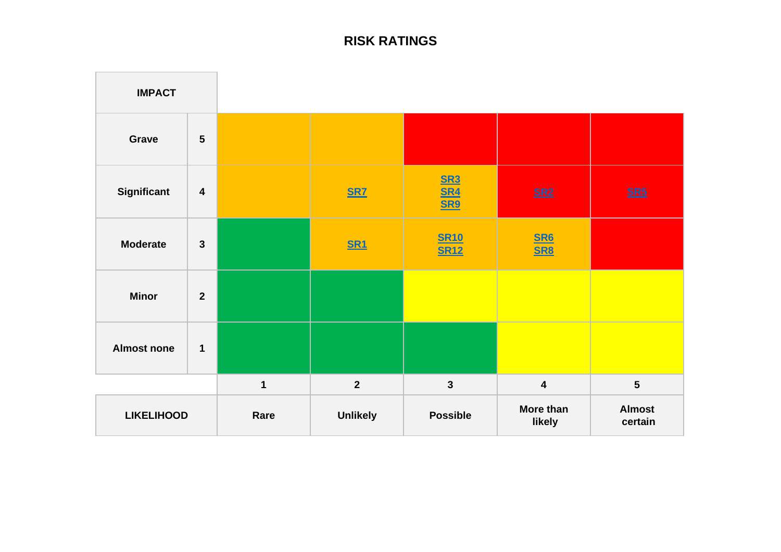# **RISK RATINGS**

<span id="page-2-1"></span><span id="page-2-0"></span>

| <b>IMPACT</b>      |                         |             |                 |                            |                                 |                          |
|--------------------|-------------------------|-------------|-----------------|----------------------------|---------------------------------|--------------------------|
| Grave              | $5\phantom{1}$          |             |                 |                            |                                 |                          |
| <b>Significant</b> | $\overline{\mathbf{4}}$ |             | <b>SR7</b>      | SR3<br>SR4<br>SR9          | $SR2$                           | $SRS$                    |
| <b>Moderate</b>    | $\mathbf{3}$            |             | <b>SR1</b>      | <b>SR10</b><br><b>SR12</b> | $\frac{\text{S}R6}{\text{S}R8}$ |                          |
| <b>Minor</b>       | $\overline{2}$          |             |                 |                            |                                 |                          |
| <b>Almost none</b> | $\mathbf 1$             |             |                 |                            |                                 |                          |
|                    |                         | $\mathbf 1$ | $\overline{2}$  | $\mathbf{3}$               | $\overline{\mathbf{4}}$         | $5\phantom{a}$           |
| <b>LIKELIHOOD</b>  |                         | Rare        | <b>Unlikely</b> | <b>Possible</b>            | More than<br>likely             | <b>Almost</b><br>certain |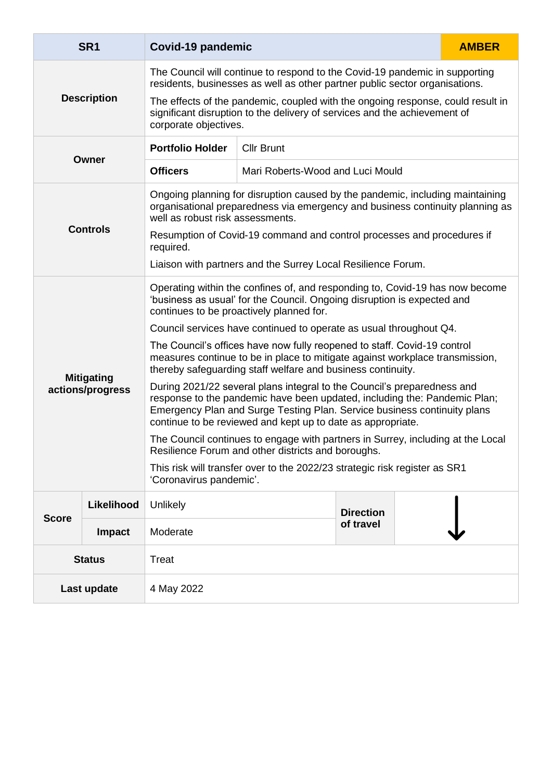<span id="page-3-0"></span>

|                    | SR <sub>1</sub>                       | Covid-19 pandemic                                                                                                                                                                                                                                                                               |                                                                                                                                                                |                  |  | <b>AMBER</b> |
|--------------------|---------------------------------------|-------------------------------------------------------------------------------------------------------------------------------------------------------------------------------------------------------------------------------------------------------------------------------------------------|----------------------------------------------------------------------------------------------------------------------------------------------------------------|------------------|--|--------------|
| <b>Description</b> |                                       | The Council will continue to respond to the Covid-19 pandemic in supporting<br>residents, businesses as well as other partner public sector organisations.                                                                                                                                      |                                                                                                                                                                |                  |  |              |
|                    |                                       | corporate objectives.                                                                                                                                                                                                                                                                           | The effects of the pandemic, coupled with the ongoing response, could result in<br>significant disruption to the delivery of services and the achievement of   |                  |  |              |
| Owner              |                                       | <b>Portfolio Holder</b>                                                                                                                                                                                                                                                                         | <b>Cllr Brunt</b>                                                                                                                                              |                  |  |              |
|                    |                                       | <b>Officers</b>                                                                                                                                                                                                                                                                                 | Mari Roberts-Wood and Luci Mould                                                                                                                               |                  |  |              |
|                    |                                       | well as robust risk assessments.                                                                                                                                                                                                                                                                | Ongoing planning for disruption caused by the pandemic, including maintaining<br>organisational preparedness via emergency and business continuity planning as |                  |  |              |
|                    | <b>Controls</b>                       | Resumption of Covid-19 command and control processes and procedures if<br>required.                                                                                                                                                                                                             |                                                                                                                                                                |                  |  |              |
|                    |                                       | Liaison with partners and the Surrey Local Resilience Forum.                                                                                                                                                                                                                                    |                                                                                                                                                                |                  |  |              |
|                    |                                       | Operating within the confines of, and responding to, Covid-19 has now become<br>'business as usual' for the Council. Ongoing disruption is expected and<br>continues to be proactively planned for.                                                                                             |                                                                                                                                                                |                  |  |              |
|                    |                                       | Council services have continued to operate as usual throughout Q4.                                                                                                                                                                                                                              |                                                                                                                                                                |                  |  |              |
|                    |                                       | The Council's offices have now fully reopened to staff. Covid-19 control<br>measures continue to be in place to mitigate against workplace transmission,<br>thereby safeguarding staff welfare and business continuity.                                                                         |                                                                                                                                                                |                  |  |              |
|                    | <b>Mitigating</b><br>actions/progress | During 2021/22 several plans integral to the Council's preparedness and<br>response to the pandemic have been updated, including the: Pandemic Plan;<br>Emergency Plan and Surge Testing Plan. Service business continuity plans<br>continue to be reviewed and kept up to date as appropriate. |                                                                                                                                                                |                  |  |              |
|                    |                                       | The Council continues to engage with partners in Surrey, including at the Local<br>Resilience Forum and other districts and boroughs.                                                                                                                                                           |                                                                                                                                                                |                  |  |              |
|                    |                                       | This risk will transfer over to the 2022/23 strategic risk register as SR1<br>'Coronavirus pandemic'.                                                                                                                                                                                           |                                                                                                                                                                |                  |  |              |
|                    | Likelihood                            | Unlikely                                                                                                                                                                                                                                                                                        |                                                                                                                                                                | <b>Direction</b> |  |              |
| <b>Score</b>       | Impact                                | Moderate                                                                                                                                                                                                                                                                                        |                                                                                                                                                                | of travel        |  |              |
|                    | <b>Status</b>                         | <b>Treat</b>                                                                                                                                                                                                                                                                                    |                                                                                                                                                                |                  |  |              |
| Last update        |                                       | 4 May 2022                                                                                                                                                                                                                                                                                      |                                                                                                                                                                |                  |  |              |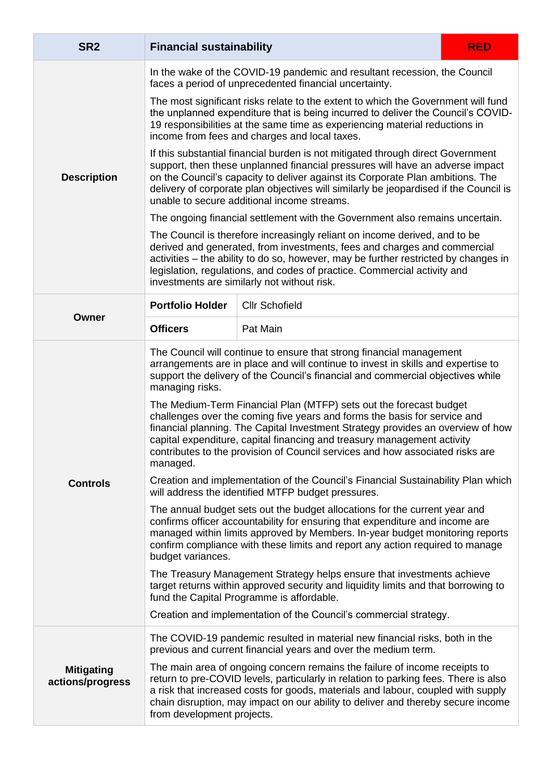<span id="page-4-1"></span><span id="page-4-0"></span>

| SR <sub>2</sub>                       | <b>Financial sustainability</b>                                                                                                                                                                                                                                                                                                                                                                            |                                                                                                                                                                                                                                                                                                                                                                                            | <b>RED</b> |  |  |
|---------------------------------------|------------------------------------------------------------------------------------------------------------------------------------------------------------------------------------------------------------------------------------------------------------------------------------------------------------------------------------------------------------------------------------------------------------|--------------------------------------------------------------------------------------------------------------------------------------------------------------------------------------------------------------------------------------------------------------------------------------------------------------------------------------------------------------------------------------------|------------|--|--|
|                                       |                                                                                                                                                                                                                                                                                                                                                                                                            | In the wake of the COVID-19 pandemic and resultant recession, the Council<br>faces a period of unprecedented financial uncertainty.                                                                                                                                                                                                                                                        |            |  |  |
|                                       | The most significant risks relate to the extent to which the Government will fund<br>the unplanned expenditure that is being incurred to deliver the Council's COVID-<br>19 responsibilities at the same time as experiencing material reductions in<br>income from fees and charges and local taxes.                                                                                                      |                                                                                                                                                                                                                                                                                                                                                                                            |            |  |  |
| <b>Description</b>                    |                                                                                                                                                                                                                                                                                                                                                                                                            | If this substantial financial burden is not mitigated through direct Government<br>support, then these unplanned financial pressures will have an adverse impact<br>on the Council's capacity to deliver against its Corporate Plan ambitions. The<br>delivery of corporate plan objectives will similarly be jeopardised if the Council is<br>unable to secure additional income streams. |            |  |  |
|                                       |                                                                                                                                                                                                                                                                                                                                                                                                            | The ongoing financial settlement with the Government also remains uncertain.                                                                                                                                                                                                                                                                                                               |            |  |  |
|                                       | The Council is therefore increasingly reliant on income derived, and to be<br>derived and generated, from investments, fees and charges and commercial<br>activities – the ability to do so, however, may be further restricted by changes in<br>legislation, regulations, and codes of practice. Commercial activity and<br>investments are similarly not without risk.                                   |                                                                                                                                                                                                                                                                                                                                                                                            |            |  |  |
| Owner                                 | <b>Portfolio Holder</b>                                                                                                                                                                                                                                                                                                                                                                                    | <b>Cllr Schofield</b>                                                                                                                                                                                                                                                                                                                                                                      |            |  |  |
|                                       | Pat Main                                                                                                                                                                                                                                                                                                                                                                                                   |                                                                                                                                                                                                                                                                                                                                                                                            |            |  |  |
|                                       | The Council will continue to ensure that strong financial management<br>arrangements are in place and will continue to invest in skills and expertise to<br>support the delivery of the Council's financial and commercial objectives while<br>managing risks.                                                                                                                                             |                                                                                                                                                                                                                                                                                                                                                                                            |            |  |  |
|                                       | The Medium-Term Financial Plan (MTFP) sets out the forecast budget<br>challenges over the coming five years and forms the basis for service and<br>financial planning. The Capital Investment Strategy provides an overview of how<br>capital expenditure, capital financing and treasury management activity<br>contributes to the provision of Council services and how associated risks are<br>managed. |                                                                                                                                                                                                                                                                                                                                                                                            |            |  |  |
| <b>Controls</b>                       |                                                                                                                                                                                                                                                                                                                                                                                                            | Creation and implementation of the Council's Financial Sustainability Plan which<br>will address the identified MTFP budget pressures.                                                                                                                                                                                                                                                     |            |  |  |
|                                       | The annual budget sets out the budget allocations for the current year and<br>confirms officer accountability for ensuring that expenditure and income are<br>managed within limits approved by Members. In-year budget monitoring reports<br>confirm compliance with these limits and report any action required to manage<br>budget variances.                                                           |                                                                                                                                                                                                                                                                                                                                                                                            |            |  |  |
|                                       | The Treasury Management Strategy helps ensure that investments achieve<br>target returns within approved security and liquidity limits and that borrowing to<br>fund the Capital Programme is affordable.                                                                                                                                                                                                  |                                                                                                                                                                                                                                                                                                                                                                                            |            |  |  |
|                                       |                                                                                                                                                                                                                                                                                                                                                                                                            | Creation and implementation of the Council's commercial strategy.                                                                                                                                                                                                                                                                                                                          |            |  |  |
|                                       |                                                                                                                                                                                                                                                                                                                                                                                                            | The COVID-19 pandemic resulted in material new financial risks, both in the<br>previous and current financial years and over the medium term.                                                                                                                                                                                                                                              |            |  |  |
| <b>Mitigating</b><br>actions/progress | from development projects.                                                                                                                                                                                                                                                                                                                                                                                 | The main area of ongoing concern remains the failure of income receipts to<br>return to pre-COVID levels, particularly in relation to parking fees. There is also<br>a risk that increased costs for goods, materials and labour, coupled with supply<br>chain disruption, may impact on our ability to deliver and thereby secure income                                                  |            |  |  |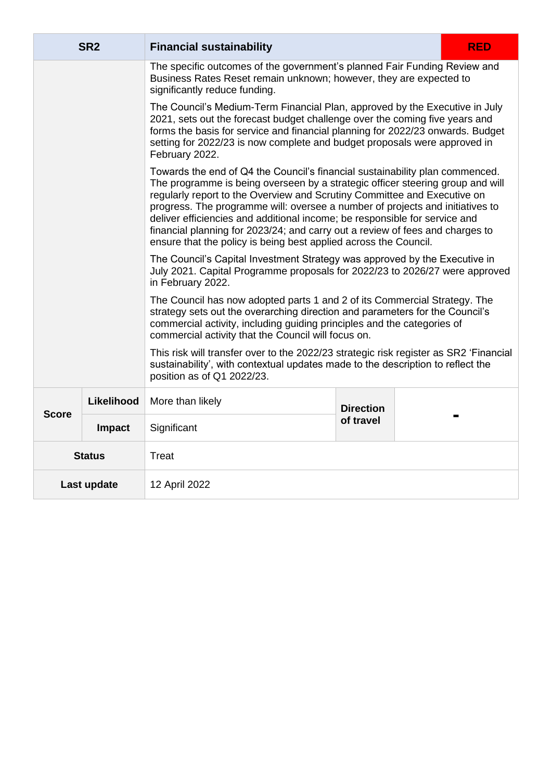|               | SR <sub>2</sub> | <b>RED</b><br><b>Financial sustainability</b>                                                                                                                                                                                                                                                                                                                                                                                                                                                                                                                  |                  |  |  |
|---------------|-----------------|----------------------------------------------------------------------------------------------------------------------------------------------------------------------------------------------------------------------------------------------------------------------------------------------------------------------------------------------------------------------------------------------------------------------------------------------------------------------------------------------------------------------------------------------------------------|------------------|--|--|
|               |                 | The specific outcomes of the government's planned Fair Funding Review and<br>Business Rates Reset remain unknown; however, they are expected to<br>significantly reduce funding.                                                                                                                                                                                                                                                                                                                                                                               |                  |  |  |
|               |                 | The Council's Medium-Term Financial Plan, approved by the Executive in July<br>2021, sets out the forecast budget challenge over the coming five years and<br>forms the basis for service and financial planning for 2022/23 onwards. Budget<br>setting for 2022/23 is now complete and budget proposals were approved in<br>February 2022.                                                                                                                                                                                                                    |                  |  |  |
|               |                 | Towards the end of Q4 the Council's financial sustainability plan commenced.<br>The programme is being overseen by a strategic officer steering group and will<br>regularly report to the Overview and Scrutiny Committee and Executive on<br>progress. The programme will: oversee a number of projects and initiatives to<br>deliver efficiencies and additional income; be responsible for service and<br>financial planning for 2023/24; and carry out a review of fees and charges to<br>ensure that the policy is being best applied across the Council. |                  |  |  |
|               |                 | The Council's Capital Investment Strategy was approved by the Executive in<br>July 2021. Capital Programme proposals for 2022/23 to 2026/27 were approved<br>in February 2022.                                                                                                                                                                                                                                                                                                                                                                                 |                  |  |  |
|               |                 | The Council has now adopted parts 1 and 2 of its Commercial Strategy. The<br>strategy sets out the overarching direction and parameters for the Council's<br>commercial activity, including guiding principles and the categories of<br>commercial activity that the Council will focus on.                                                                                                                                                                                                                                                                    |                  |  |  |
|               |                 | This risk will transfer over to the 2022/23 strategic risk register as SR2 'Financial<br>sustainability', with contextual updates made to the description to reflect the<br>position as of Q1 2022/23.                                                                                                                                                                                                                                                                                                                                                         |                  |  |  |
| <b>Score</b>  | Likelihood      | More than likely                                                                                                                                                                                                                                                                                                                                                                                                                                                                                                                                               | <b>Direction</b> |  |  |
|               | Impact          | Significant                                                                                                                                                                                                                                                                                                                                                                                                                                                                                                                                                    | of travel        |  |  |
| <b>Status</b> |                 | <b>Treat</b>                                                                                                                                                                                                                                                                                                                                                                                                                                                                                                                                                   |                  |  |  |
|               | Last update     | 12 April 2022                                                                                                                                                                                                                                                                                                                                                                                                                                                                                                                                                  |                  |  |  |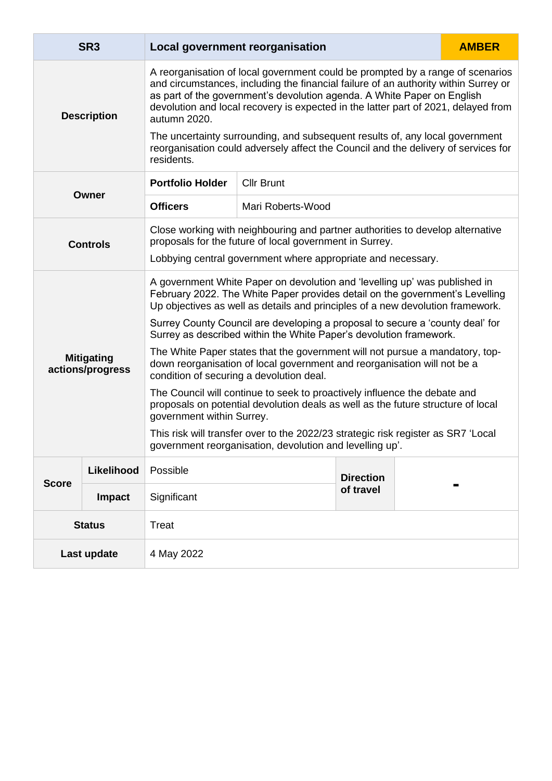<span id="page-6-1"></span><span id="page-6-0"></span>

|                    | SR <sub>3</sub>                       |                                                                                                                                                                                                                                                                                                                                                        | <b>Local government reorganisation</b>                                                                                                                             |                  |  | <b>AMBER</b> |
|--------------------|---------------------------------------|--------------------------------------------------------------------------------------------------------------------------------------------------------------------------------------------------------------------------------------------------------------------------------------------------------------------------------------------------------|--------------------------------------------------------------------------------------------------------------------------------------------------------------------|------------------|--|--------------|
| <b>Description</b> |                                       | A reorganisation of local government could be prompted by a range of scenarios<br>and circumstances, including the financial failure of an authority within Surrey or<br>as part of the government's devolution agenda. A White Paper on English<br>devolution and local recovery is expected in the latter part of 2021, delayed from<br>autumn 2020. |                                                                                                                                                                    |                  |  |              |
|                    |                                       | residents.                                                                                                                                                                                                                                                                                                                                             | The uncertainty surrounding, and subsequent results of, any local government<br>reorganisation could adversely affect the Council and the delivery of services for |                  |  |              |
|                    |                                       | <b>Portfolio Holder</b>                                                                                                                                                                                                                                                                                                                                | <b>Cllr Brunt</b>                                                                                                                                                  |                  |  |              |
|                    | Owner                                 | <b>Officers</b>                                                                                                                                                                                                                                                                                                                                        | Mari Roberts-Wood                                                                                                                                                  |                  |  |              |
|                    | <b>Controls</b>                       | Close working with neighbouring and partner authorities to develop alternative<br>proposals for the future of local government in Surrey.                                                                                                                                                                                                              |                                                                                                                                                                    |                  |  |              |
|                    |                                       | Lobbying central government where appropriate and necessary.                                                                                                                                                                                                                                                                                           |                                                                                                                                                                    |                  |  |              |
|                    |                                       | A government White Paper on devolution and 'levelling up' was published in<br>February 2022. The White Paper provides detail on the government's Levelling<br>Up objectives as well as details and principles of a new devolution framework.                                                                                                           |                                                                                                                                                                    |                  |  |              |
|                    |                                       | Surrey County Council are developing a proposal to secure a 'county deal' for<br>Surrey as described within the White Paper's devolution framework.                                                                                                                                                                                                    |                                                                                                                                                                    |                  |  |              |
|                    | <b>Mitigating</b><br>actions/progress | The White Paper states that the government will not pursue a mandatory, top-<br>down reorganisation of local government and reorganisation will not be a<br>condition of securing a devolution deal.                                                                                                                                                   |                                                                                                                                                                    |                  |  |              |
|                    |                                       | The Council will continue to seek to proactively influence the debate and<br>proposals on potential devolution deals as well as the future structure of local<br>government within Surrey.                                                                                                                                                             |                                                                                                                                                                    |                  |  |              |
|                    |                                       | This risk will transfer over to the 2022/23 strategic risk register as SR7 'Local<br>government reorganisation, devolution and levelling up'.                                                                                                                                                                                                          |                                                                                                                                                                    |                  |  |              |
|                    | Likelihood                            | Possible                                                                                                                                                                                                                                                                                                                                               |                                                                                                                                                                    | <b>Direction</b> |  |              |
| <b>Score</b>       | <b>Impact</b>                         | Significant                                                                                                                                                                                                                                                                                                                                            |                                                                                                                                                                    | of travel        |  |              |
| <b>Status</b>      |                                       | <b>Treat</b>                                                                                                                                                                                                                                                                                                                                           |                                                                                                                                                                    |                  |  |              |
| Last update        |                                       | 4 May 2022                                                                                                                                                                                                                                                                                                                                             |                                                                                                                                                                    |                  |  |              |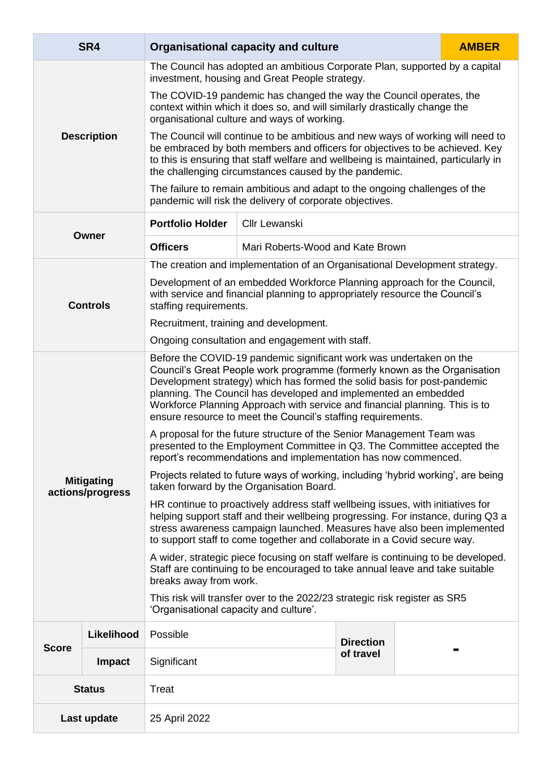<span id="page-7-1"></span><span id="page-7-0"></span>

|                    | SR4                                   |                                                                                                                                                                                                                                                                                                                                                                                                                                                | <b>Organisational capacity and culture</b>                                                                                             |                  |  | <b>AMBER</b> |
|--------------------|---------------------------------------|------------------------------------------------------------------------------------------------------------------------------------------------------------------------------------------------------------------------------------------------------------------------------------------------------------------------------------------------------------------------------------------------------------------------------------------------|----------------------------------------------------------------------------------------------------------------------------------------|------------------|--|--------------|
|                    |                                       | The Council has adopted an ambitious Corporate Plan, supported by a capital<br>investment, housing and Great People strategy.                                                                                                                                                                                                                                                                                                                  |                                                                                                                                        |                  |  |              |
|                    |                                       | The COVID-19 pandemic has changed the way the Council operates, the<br>context within which it does so, and will similarly drastically change the<br>organisational culture and ways of working.                                                                                                                                                                                                                                               |                                                                                                                                        |                  |  |              |
| <b>Description</b> |                                       | The Council will continue to be ambitious and new ways of working will need to<br>be embraced by both members and officers for objectives to be achieved. Key<br>to this is ensuring that staff welfare and wellbeing is maintained, particularly in<br>the challenging circumstances caused by the pandemic.                                                                                                                                  |                                                                                                                                        |                  |  |              |
|                    |                                       |                                                                                                                                                                                                                                                                                                                                                                                                                                                | The failure to remain ambitious and adapt to the ongoing challenges of the<br>pandemic will risk the delivery of corporate objectives. |                  |  |              |
|                    |                                       | <b>Portfolio Holder</b>                                                                                                                                                                                                                                                                                                                                                                                                                        | <b>Cllr Lewanski</b>                                                                                                                   |                  |  |              |
| Owner              | <b>Officers</b>                       | Mari Roberts-Wood and Kate Brown                                                                                                                                                                                                                                                                                                                                                                                                               |                                                                                                                                        |                  |  |              |
|                    |                                       |                                                                                                                                                                                                                                                                                                                                                                                                                                                | The creation and implementation of an Organisational Development strategy.                                                             |                  |  |              |
|                    | <b>Controls</b>                       | Development of an embedded Workforce Planning approach for the Council,<br>with service and financial planning to appropriately resource the Council's<br>staffing requirements.                                                                                                                                                                                                                                                               |                                                                                                                                        |                  |  |              |
|                    |                                       | Recruitment, training and development.                                                                                                                                                                                                                                                                                                                                                                                                         |                                                                                                                                        |                  |  |              |
|                    |                                       | Ongoing consultation and engagement with staff.                                                                                                                                                                                                                                                                                                                                                                                                |                                                                                                                                        |                  |  |              |
|                    |                                       | Before the COVID-19 pandemic significant work was undertaken on the<br>Council's Great People work programme (formerly known as the Organisation<br>Development strategy) which has formed the solid basis for post-pandemic<br>planning. The Council has developed and implemented an embedded<br>Workforce Planning Approach with service and financial planning. This is to<br>ensure resource to meet the Council's staffing requirements. |                                                                                                                                        |                  |  |              |
|                    |                                       | A proposal for the future structure of the Senior Management Team was<br>presented to the Employment Committee in Q3. The Committee accepted the<br>report's recommendations and implementation has now commenced.                                                                                                                                                                                                                             |                                                                                                                                        |                  |  |              |
|                    | <b>Mitigating</b><br>actions/progress | Projects related to future ways of working, including 'hybrid working', are being<br>taken forward by the Organisation Board.                                                                                                                                                                                                                                                                                                                  |                                                                                                                                        |                  |  |              |
|                    |                                       | HR continue to proactively address staff wellbeing issues, with initiatives for<br>helping support staff and their wellbeing progressing. For instance, during Q3 a<br>stress awareness campaign launched. Measures have also been implemented<br>to support staff to come together and collaborate in a Covid secure way.                                                                                                                     |                                                                                                                                        |                  |  |              |
|                    |                                       | A wider, strategic piece focusing on staff welfare is continuing to be developed.<br>Staff are continuing to be encouraged to take annual leave and take suitable<br>breaks away from work.                                                                                                                                                                                                                                                    |                                                                                                                                        |                  |  |              |
|                    |                                       | This risk will transfer over to the 2022/23 strategic risk register as SR5<br>'Organisational capacity and culture'.                                                                                                                                                                                                                                                                                                                           |                                                                                                                                        |                  |  |              |
|                    | Likelihood                            | Possible                                                                                                                                                                                                                                                                                                                                                                                                                                       |                                                                                                                                        | <b>Direction</b> |  |              |
| <b>Score</b>       | <b>Impact</b>                         | Significant                                                                                                                                                                                                                                                                                                                                                                                                                                    |                                                                                                                                        | of travel        |  |              |
|                    | <b>Status</b>                         | Treat                                                                                                                                                                                                                                                                                                                                                                                                                                          |                                                                                                                                        |                  |  |              |
|                    | Last update                           | 25 April 2022                                                                                                                                                                                                                                                                                                                                                                                                                                  |                                                                                                                                        |                  |  |              |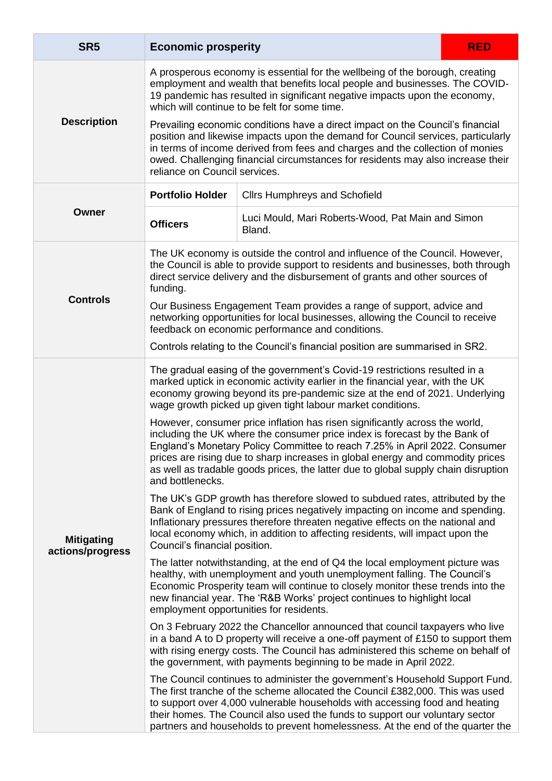<span id="page-8-1"></span><span id="page-8-0"></span>

| SR <sub>5</sub>                                                                                                                                            | <b>Economic prosperity</b>                                                                                                                                                                                                                                                                                                                                                                                                          |                                                                                                                                                                                                                                                                                                                                                                                                                | <b>RED</b> |  |
|------------------------------------------------------------------------------------------------------------------------------------------------------------|-------------------------------------------------------------------------------------------------------------------------------------------------------------------------------------------------------------------------------------------------------------------------------------------------------------------------------------------------------------------------------------------------------------------------------------|----------------------------------------------------------------------------------------------------------------------------------------------------------------------------------------------------------------------------------------------------------------------------------------------------------------------------------------------------------------------------------------------------------------|------------|--|
|                                                                                                                                                            | A prosperous economy is essential for the wellbeing of the borough, creating<br>employment and wealth that benefits local people and businesses. The COVID-<br>19 pandemic has resulted in significant negative impacts upon the economy,<br>which will continue to be felt for some time.                                                                                                                                          |                                                                                                                                                                                                                                                                                                                                                                                                                |            |  |
| <b>Description</b>                                                                                                                                         | Prevailing economic conditions have a direct impact on the Council's financial<br>position and likewise impacts upon the demand for Council services, particularly<br>in terms of income derived from fees and charges and the collection of monies<br>owed. Challenging financial circumstances for residents may also increase their<br>reliance on Council services.                                                             |                                                                                                                                                                                                                                                                                                                                                                                                                |            |  |
| <b>Portfolio Holder</b><br><b>Cllrs Humphreys and Schofield</b><br>Owner<br>Luci Mould, Mari Roberts-Wood, Pat Main and Simon<br><b>Officers</b><br>Bland. |                                                                                                                                                                                                                                                                                                                                                                                                                                     |                                                                                                                                                                                                                                                                                                                                                                                                                |            |  |
|                                                                                                                                                            |                                                                                                                                                                                                                                                                                                                                                                                                                                     |                                                                                                                                                                                                                                                                                                                                                                                                                |            |  |
| <b>Controls</b>                                                                                                                                            | Our Business Engagement Team provides a range of support, advice and<br>networking opportunities for local businesses, allowing the Council to receive<br>feedback on economic performance and conditions.                                                                                                                                                                                                                          |                                                                                                                                                                                                                                                                                                                                                                                                                |            |  |
|                                                                                                                                                            | Controls relating to the Council's financial position are summarised in SR2.                                                                                                                                                                                                                                                                                                                                                        |                                                                                                                                                                                                                                                                                                                                                                                                                |            |  |
|                                                                                                                                                            | The gradual easing of the government's Covid-19 restrictions resulted in a<br>marked uptick in economic activity earlier in the financial year, with the UK<br>economy growing beyond its pre-pandemic size at the end of 2021. Underlying<br>wage growth picked up given tight labour market conditions.                                                                                                                           |                                                                                                                                                                                                                                                                                                                                                                                                                |            |  |
|                                                                                                                                                            | However, consumer price inflation has risen significantly across the world,<br>including the UK where the consumer price index is forecast by the Bank of<br>England's Monetary Policy Committee to reach 7.25% in April 2022. Consumer<br>prices are rising due to sharp increases in global energy and commodity prices<br>as well as tradable goods prices, the latter due to global supply chain disruption<br>and bottlenecks. |                                                                                                                                                                                                                                                                                                                                                                                                                |            |  |
| <b>Mitigating</b><br>actions/progress                                                                                                                      | The UK's GDP growth has therefore slowed to subdued rates, attributed by the<br>Bank of England to rising prices negatively impacting on income and spending.<br>Inflationary pressures therefore threaten negative effects on the national and<br>local economy which, in addition to affecting residents, will impact upon the<br>Council's financial position.                                                                   |                                                                                                                                                                                                                                                                                                                                                                                                                |            |  |
|                                                                                                                                                            | The latter notwithstanding, at the end of Q4 the local employment picture was<br>healthy, with unemployment and youth unemployment falling. The Council's<br>Economic Prosperity team will continue to closely monitor these trends into the<br>new financial year. The 'R&B Works' project continues to highlight local<br>employment opportunities for residents.                                                                 |                                                                                                                                                                                                                                                                                                                                                                                                                |            |  |
|                                                                                                                                                            | On 3 February 2022 the Chancellor announced that council taxpayers who live<br>in a band A to D property will receive a one-off payment of £150 to support them<br>with rising energy costs. The Council has administered this scheme on behalf of<br>the government, with payments beginning to be made in April 2022.                                                                                                             |                                                                                                                                                                                                                                                                                                                                                                                                                |            |  |
|                                                                                                                                                            |                                                                                                                                                                                                                                                                                                                                                                                                                                     | The Council continues to administer the government's Household Support Fund.<br>The first tranche of the scheme allocated the Council £382,000. This was used<br>to support over 4,000 vulnerable households with accessing food and heating<br>their homes. The Council also used the funds to support our voluntary sector<br>partners and households to prevent homelessness. At the end of the quarter the |            |  |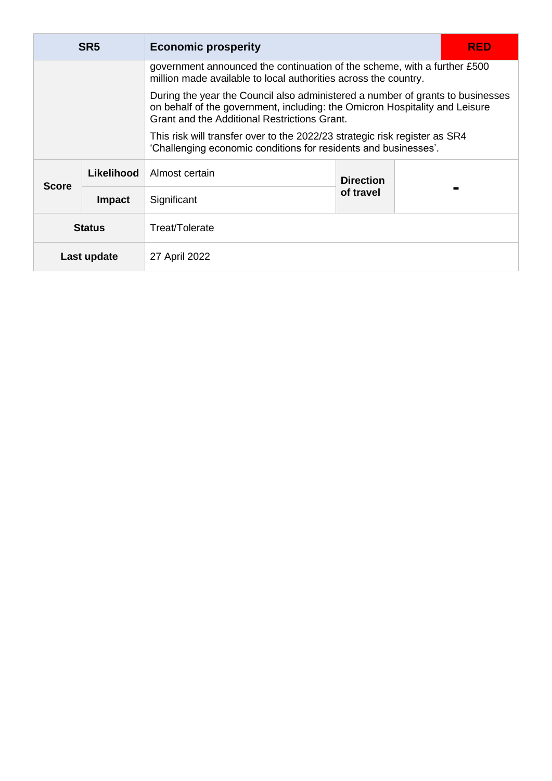| SR <sub>5</sub> |               | <b>Economic prosperity</b><br>RED                                                                                                                                                                             |                  |  |  |
|-----------------|---------------|---------------------------------------------------------------------------------------------------------------------------------------------------------------------------------------------------------------|------------------|--|--|
|                 |               | government announced the continuation of the scheme, with a further £500<br>million made available to local authorities across the country.                                                                   |                  |  |  |
|                 |               | During the year the Council also administered a number of grants to businesses<br>on behalf of the government, including: the Omicron Hospitality and Leisure<br>Grant and the Additional Restrictions Grant. |                  |  |  |
|                 |               | This risk will transfer over to the 2022/23 strategic risk register as SR4<br>'Challenging economic conditions for residents and businesses'.                                                                 |                  |  |  |
|                 | Likelihood    | Almost certain                                                                                                                                                                                                | <b>Direction</b> |  |  |
| <b>Score</b>    | <b>Impact</b> | Significant                                                                                                                                                                                                   | of travel        |  |  |
| <b>Status</b>   |               | Treat/Tolerate                                                                                                                                                                                                |                  |  |  |
| Last update     |               | 27 April 2022                                                                                                                                                                                                 |                  |  |  |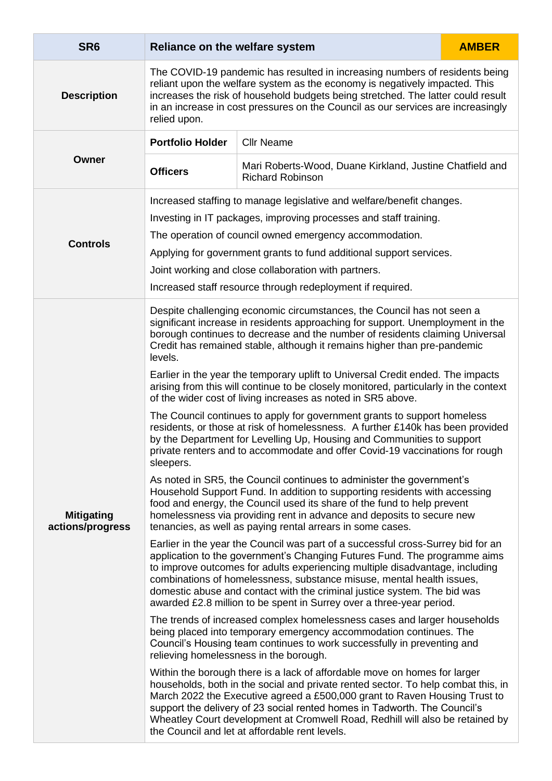<span id="page-10-1"></span><span id="page-10-0"></span>

| SR <sub>6</sub>                       | Reliance on the welfare system                                                                                                                                                                                                                                                                                                                                                                                                                                                                                                                                                                                                                                                                                                                                                                                                                                                                     |                   | <b>AMBER</b> |  |  |
|---------------------------------------|----------------------------------------------------------------------------------------------------------------------------------------------------------------------------------------------------------------------------------------------------------------------------------------------------------------------------------------------------------------------------------------------------------------------------------------------------------------------------------------------------------------------------------------------------------------------------------------------------------------------------------------------------------------------------------------------------------------------------------------------------------------------------------------------------------------------------------------------------------------------------------------------------|-------------------|--------------|--|--|
| <b>Description</b>                    | The COVID-19 pandemic has resulted in increasing numbers of residents being<br>reliant upon the welfare system as the economy is negatively impacted. This<br>increases the risk of household budgets being stretched. The latter could result<br>in an increase in cost pressures on the Council as our services are increasingly<br>relied upon.                                                                                                                                                                                                                                                                                                                                                                                                                                                                                                                                                 |                   |              |  |  |
|                                       | <b>Portfolio Holder</b>                                                                                                                                                                                                                                                                                                                                                                                                                                                                                                                                                                                                                                                                                                                                                                                                                                                                            | <b>Cllr Neame</b> |              |  |  |
| Owner                                 | Mari Roberts-Wood, Duane Kirkland, Justine Chatfield and<br><b>Officers</b><br><b>Richard Robinson</b>                                                                                                                                                                                                                                                                                                                                                                                                                                                                                                                                                                                                                                                                                                                                                                                             |                   |              |  |  |
| <b>Controls</b>                       | Increased staffing to manage legislative and welfare/benefit changes.<br>Investing in IT packages, improving processes and staff training.<br>The operation of council owned emergency accommodation.<br>Applying for government grants to fund additional support services.<br>Joint working and close collaboration with partners.<br>Increased staff resource through redeployment if required.                                                                                                                                                                                                                                                                                                                                                                                                                                                                                                 |                   |              |  |  |
|                                       | Despite challenging economic circumstances, the Council has not seen a<br>significant increase in residents approaching for support. Unemployment in the<br>borough continues to decrease and the number of residents claiming Universal<br>Credit has remained stable, although it remains higher than pre-pandemic<br>levels.<br>Earlier in the year the temporary uplift to Universal Credit ended. The impacts<br>arising from this will continue to be closely monitored, particularly in the context<br>of the wider cost of living increases as noted in SR5 above.<br>The Council continues to apply for government grants to support homeless<br>residents, or those at risk of homelessness. A further £140k has been provided<br>by the Department for Levelling Up, Housing and Communities to support<br>private renters and to accommodate and offer Covid-19 vaccinations for rough |                   |              |  |  |
| <b>Mitigating</b><br>actions/progress | sleepers.<br>As noted in SR5, the Council continues to administer the government's<br>Household Support Fund. In addition to supporting residents with accessing<br>food and energy, the Council used its share of the fund to help prevent<br>homelessness via providing rent in advance and deposits to secure new<br>tenancies, as well as paying rental arrears in some cases.                                                                                                                                                                                                                                                                                                                                                                                                                                                                                                                 |                   |              |  |  |
|                                       | Earlier in the year the Council was part of a successful cross-Surrey bid for an<br>application to the government's Changing Futures Fund. The programme aims<br>to improve outcomes for adults experiencing multiple disadvantage, including<br>combinations of homelessness, substance misuse, mental health issues,<br>domestic abuse and contact with the criminal justice system. The bid was<br>awarded £2.8 million to be spent in Surrey over a three-year period.                                                                                                                                                                                                                                                                                                                                                                                                                         |                   |              |  |  |
|                                       | The trends of increased complex homelessness cases and larger households<br>being placed into temporary emergency accommodation continues. The<br>Council's Housing team continues to work successfully in preventing and<br>relieving homelessness in the borough.                                                                                                                                                                                                                                                                                                                                                                                                                                                                                                                                                                                                                                |                   |              |  |  |
|                                       | Within the borough there is a lack of affordable move on homes for larger<br>households, both in the social and private rented sector. To help combat this, in<br>March 2022 the Executive agreed a £500,000 grant to Raven Housing Trust to<br>support the delivery of 23 social rented homes in Tadworth. The Council's<br>Wheatley Court development at Cromwell Road, Redhill will also be retained by<br>the Council and let at affordable rent levels.                                                                                                                                                                                                                                                                                                                                                                                                                                       |                   |              |  |  |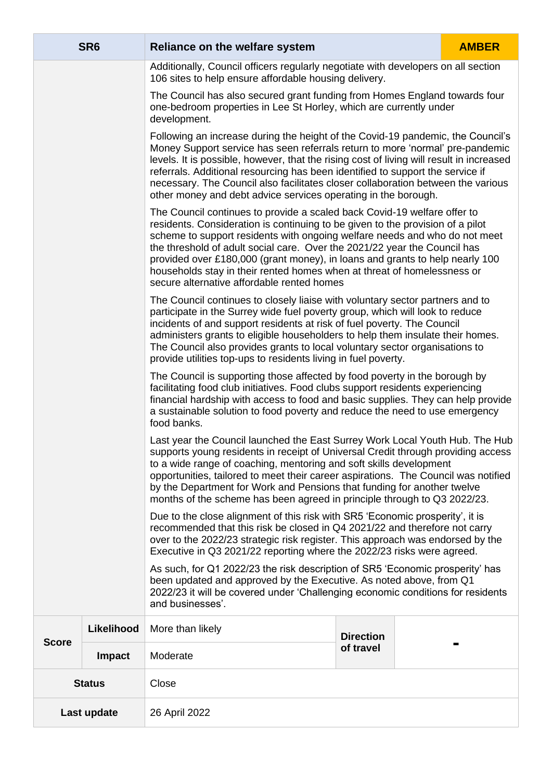|               | SR <sub>6</sub> | Reliance on the welfare system                                                                                                                                                                                                                                                                                                                                                                                                                                                                                                 |                  |  | <b>AMBER</b> |  |
|---------------|-----------------|--------------------------------------------------------------------------------------------------------------------------------------------------------------------------------------------------------------------------------------------------------------------------------------------------------------------------------------------------------------------------------------------------------------------------------------------------------------------------------------------------------------------------------|------------------|--|--------------|--|
|               |                 | Additionally, Council officers regularly negotiate with developers on all section<br>106 sites to help ensure affordable housing delivery.                                                                                                                                                                                                                                                                                                                                                                                     |                  |  |              |  |
|               |                 | The Council has also secured grant funding from Homes England towards four<br>one-bedroom properties in Lee St Horley, which are currently under<br>development.                                                                                                                                                                                                                                                                                                                                                               |                  |  |              |  |
|               |                 | Following an increase during the height of the Covid-19 pandemic, the Council's<br>Money Support service has seen referrals return to more 'normal' pre-pandemic<br>levels. It is possible, however, that the rising cost of living will result in increased<br>referrals. Additional resourcing has been identified to support the service if<br>necessary. The Council also facilitates closer collaboration between the various<br>other money and debt advice services operating in the borough.                           |                  |  |              |  |
|               |                 | The Council continues to provide a scaled back Covid-19 welfare offer to<br>residents. Consideration is continuing to be given to the provision of a pilot<br>scheme to support residents with ongoing welfare needs and who do not meet<br>the threshold of adult social care. Over the 2021/22 year the Council has<br>provided over £180,000 (grant money), in loans and grants to help nearly 100<br>households stay in their rented homes when at threat of homelessness or<br>secure alternative affordable rented homes |                  |  |              |  |
|               |                 | The Council continues to closely liaise with voluntary sector partners and to<br>participate in the Surrey wide fuel poverty group, which will look to reduce<br>incidents of and support residents at risk of fuel poverty. The Council<br>administers grants to eligible householders to help them insulate their homes.<br>The Council also provides grants to local voluntary sector organisations to<br>provide utilities top-ups to residents living in fuel poverty.                                                    |                  |  |              |  |
|               |                 | The Council is supporting those affected by food poverty in the borough by<br>facilitating food club initiatives. Food clubs support residents experiencing<br>financial hardship with access to food and basic supplies. They can help provide<br>a sustainable solution to food poverty and reduce the need to use emergency<br>food banks.                                                                                                                                                                                  |                  |  |              |  |
|               |                 | Last year the Council launched the East Surrey Work Local Youth Hub. The Hub<br>supports young residents in receipt of Universal Credit through providing access<br>to a wide range of coaching, mentoring and soft skills development<br>opportunities, tailored to meet their career aspirations. The Council was notified<br>by the Department for Work and Pensions that funding for another twelve<br>months of the scheme has been agreed in principle through to Q3 2022/23.                                            |                  |  |              |  |
|               |                 | Due to the close alignment of this risk with SR5 'Economic prosperity', it is<br>recommended that this risk be closed in Q4 2021/22 and therefore not carry<br>over to the 2022/23 strategic risk register. This approach was endorsed by the<br>Executive in Q3 2021/22 reporting where the 2022/23 risks were agreed.                                                                                                                                                                                                        |                  |  |              |  |
|               |                 | As such, for Q1 2022/23 the risk description of SR5 'Economic prosperity' has<br>been updated and approved by the Executive. As noted above, from Q1<br>2022/23 it will be covered under 'Challenging economic conditions for residents<br>and businesses'.                                                                                                                                                                                                                                                                    |                  |  |              |  |
|               | Likelihood      | More than likely                                                                                                                                                                                                                                                                                                                                                                                                                                                                                                               | <b>Direction</b> |  |              |  |
| <b>Score</b>  | <b>Impact</b>   | Moderate                                                                                                                                                                                                                                                                                                                                                                                                                                                                                                                       | of travel        |  |              |  |
| <b>Status</b> |                 | Close                                                                                                                                                                                                                                                                                                                                                                                                                                                                                                                          |                  |  |              |  |
| Last update   |                 | 26 April 2022                                                                                                                                                                                                                                                                                                                                                                                                                                                                                                                  |                  |  |              |  |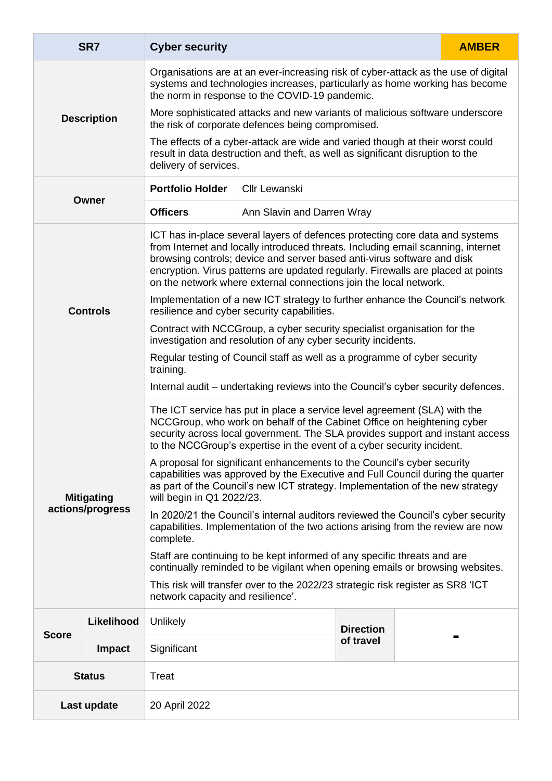<span id="page-12-1"></span><span id="page-12-0"></span>

|               | SR7                | <b>Cyber security</b>                                                                                                                                                                                                                                                                                                                                                                                |                                                                                                                                                                 |                  | <b>AMBER</b> |  |  |
|---------------|--------------------|------------------------------------------------------------------------------------------------------------------------------------------------------------------------------------------------------------------------------------------------------------------------------------------------------------------------------------------------------------------------------------------------------|-----------------------------------------------------------------------------------------------------------------------------------------------------------------|------------------|--------------|--|--|
|               |                    | Organisations are at an ever-increasing risk of cyber-attack as the use of digital<br>systems and technologies increases, particularly as home working has become<br>the norm in response to the COVID-19 pandemic.                                                                                                                                                                                  |                                                                                                                                                                 |                  |              |  |  |
|               | <b>Description</b> | More sophisticated attacks and new variants of malicious software underscore<br>the risk of corporate defences being compromised.                                                                                                                                                                                                                                                                    |                                                                                                                                                                 |                  |              |  |  |
|               |                    | delivery of services.                                                                                                                                                                                                                                                                                                                                                                                | The effects of a cyber-attack are wide and varied though at their worst could<br>result in data destruction and theft, as well as significant disruption to the |                  |              |  |  |
|               |                    | <b>Portfolio Holder</b>                                                                                                                                                                                                                                                                                                                                                                              | Cllr Lewanski                                                                                                                                                   |                  |              |  |  |
|               | Owner              | <b>Officers</b>                                                                                                                                                                                                                                                                                                                                                                                      | Ann Slavin and Darren Wray                                                                                                                                      |                  |              |  |  |
|               |                    | ICT has in-place several layers of defences protecting core data and systems<br>from Internet and locally introduced threats. Including email scanning, internet<br>browsing controls; device and server based anti-virus software and disk<br>encryption. Virus patterns are updated regularly. Firewalls are placed at points<br>on the network where external connections join the local network. |                                                                                                                                                                 |                  |              |  |  |
|               | <b>Controls</b>    | Implementation of a new ICT strategy to further enhance the Council's network<br>resilience and cyber security capabilities.                                                                                                                                                                                                                                                                         |                                                                                                                                                                 |                  |              |  |  |
|               |                    | Contract with NCCGroup, a cyber security specialist organisation for the<br>investigation and resolution of any cyber security incidents.                                                                                                                                                                                                                                                            |                                                                                                                                                                 |                  |              |  |  |
|               |                    | Regular testing of Council staff as well as a programme of cyber security<br>training.                                                                                                                                                                                                                                                                                                               |                                                                                                                                                                 |                  |              |  |  |
|               |                    | Internal audit – undertaking reviews into the Council's cyber security defences.                                                                                                                                                                                                                                                                                                                     |                                                                                                                                                                 |                  |              |  |  |
|               |                    | The ICT service has put in place a service level agreement (SLA) with the<br>NCCGroup, who work on behalf of the Cabinet Office on heightening cyber<br>security across local government. The SLA provides support and instant access<br>to the NCCGroup's expertise in the event of a cyber security incident.                                                                                      |                                                                                                                                                                 |                  |              |  |  |
|               | <b>Mitigating</b>  | A proposal for significant enhancements to the Council's cyber security<br>capabilities was approved by the Executive and Full Council during the quarter<br>as part of the Council's new ICT strategy. Implementation of the new strategy<br>will begin in Q1 2022/23.                                                                                                                              |                                                                                                                                                                 |                  |              |  |  |
|               | actions/progress   | In 2020/21 the Council's internal auditors reviewed the Council's cyber security<br>capabilities. Implementation of the two actions arising from the review are now<br>complete.                                                                                                                                                                                                                     |                                                                                                                                                                 |                  |              |  |  |
|               |                    | Staff are continuing to be kept informed of any specific threats and are<br>continually reminded to be vigilant when opening emails or browsing websites.                                                                                                                                                                                                                                            |                                                                                                                                                                 |                  |              |  |  |
|               |                    | This risk will transfer over to the 2022/23 strategic risk register as SR8 'ICT<br>network capacity and resilience'.                                                                                                                                                                                                                                                                                 |                                                                                                                                                                 |                  |              |  |  |
|               | Likelihood         | Unlikely                                                                                                                                                                                                                                                                                                                                                                                             |                                                                                                                                                                 | <b>Direction</b> |              |  |  |
| <b>Score</b>  | <b>Impact</b>      | Significant                                                                                                                                                                                                                                                                                                                                                                                          |                                                                                                                                                                 | of travel        |              |  |  |
| <b>Status</b> |                    | Treat                                                                                                                                                                                                                                                                                                                                                                                                |                                                                                                                                                                 |                  |              |  |  |
| Last update   |                    | 20 April 2022                                                                                                                                                                                                                                                                                                                                                                                        |                                                                                                                                                                 |                  |              |  |  |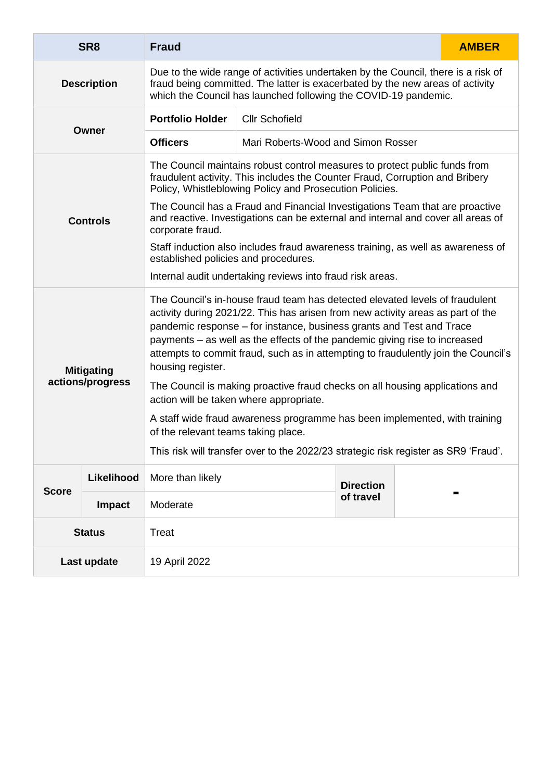<span id="page-13-1"></span><span id="page-13-0"></span>

|                   | SR <sub>8</sub>                                                                                                                                                                                                                                             | <b>Fraud</b>                                                                                                                                                                                                                                                                                                                                                                                                                     |                                    |                  | <b>AMBER</b> |  |
|-------------------|-------------------------------------------------------------------------------------------------------------------------------------------------------------------------------------------------------------------------------------------------------------|----------------------------------------------------------------------------------------------------------------------------------------------------------------------------------------------------------------------------------------------------------------------------------------------------------------------------------------------------------------------------------------------------------------------------------|------------------------------------|------------------|--------------|--|
|                   | Due to the wide range of activities undertaken by the Council, there is a risk of<br>fraud being committed. The latter is exacerbated by the new areas of activity<br><b>Description</b><br>which the Council has launched following the COVID-19 pandemic. |                                                                                                                                                                                                                                                                                                                                                                                                                                  |                                    |                  |              |  |
| Owner             |                                                                                                                                                                                                                                                             | <b>Portfolio Holder</b>                                                                                                                                                                                                                                                                                                                                                                                                          | <b>Cllr Schofield</b>              |                  |              |  |
|                   |                                                                                                                                                                                                                                                             | <b>Officers</b>                                                                                                                                                                                                                                                                                                                                                                                                                  | Mari Roberts-Wood and Simon Rosser |                  |              |  |
|                   |                                                                                                                                                                                                                                                             | The Council maintains robust control measures to protect public funds from<br>fraudulent activity. This includes the Counter Fraud, Corruption and Bribery<br>Policy, Whistleblowing Policy and Prosecution Policies.                                                                                                                                                                                                            |                                    |                  |              |  |
|                   | <b>Controls</b>                                                                                                                                                                                                                                             | The Council has a Fraud and Financial Investigations Team that are proactive<br>and reactive. Investigations can be external and internal and cover all areas of<br>corporate fraud.                                                                                                                                                                                                                                             |                                    |                  |              |  |
|                   |                                                                                                                                                                                                                                                             | Staff induction also includes fraud awareness training, as well as awareness of<br>established policies and procedures.                                                                                                                                                                                                                                                                                                          |                                    |                  |              |  |
|                   |                                                                                                                                                                                                                                                             | Internal audit undertaking reviews into fraud risk areas.                                                                                                                                                                                                                                                                                                                                                                        |                                    |                  |              |  |
| <b>Mitigating</b> |                                                                                                                                                                                                                                                             | The Council's in-house fraud team has detected elevated levels of fraudulent<br>activity during 2021/22. This has arisen from new activity areas as part of the<br>pandemic response – for instance, business grants and Test and Trace<br>payments – as well as the effects of the pandemic giving rise to increased<br>attempts to commit fraud, such as in attempting to fraudulently join the Council's<br>housing register. |                                    |                  |              |  |
|                   | actions/progress                                                                                                                                                                                                                                            | The Council is making proactive fraud checks on all housing applications and<br>action will be taken where appropriate.                                                                                                                                                                                                                                                                                                          |                                    |                  |              |  |
|                   |                                                                                                                                                                                                                                                             | A staff wide fraud awareness programme has been implemented, with training<br>of the relevant teams taking place.                                                                                                                                                                                                                                                                                                                |                                    |                  |              |  |
|                   |                                                                                                                                                                                                                                                             | This risk will transfer over to the 2022/23 strategic risk register as SR9 'Fraud'.                                                                                                                                                                                                                                                                                                                                              |                                    |                  |              |  |
| <b>Score</b>      | Likelihood                                                                                                                                                                                                                                                  | More than likely                                                                                                                                                                                                                                                                                                                                                                                                                 |                                    | <b>Direction</b> |              |  |
|                   | <b>Impact</b>                                                                                                                                                                                                                                               | Moderate                                                                                                                                                                                                                                                                                                                                                                                                                         |                                    | of travel        |              |  |
| <b>Status</b>     |                                                                                                                                                                                                                                                             | <b>Treat</b>                                                                                                                                                                                                                                                                                                                                                                                                                     |                                    |                  |              |  |
| Last update       |                                                                                                                                                                                                                                                             | 19 April 2022                                                                                                                                                                                                                                                                                                                                                                                                                    |                                    |                  |              |  |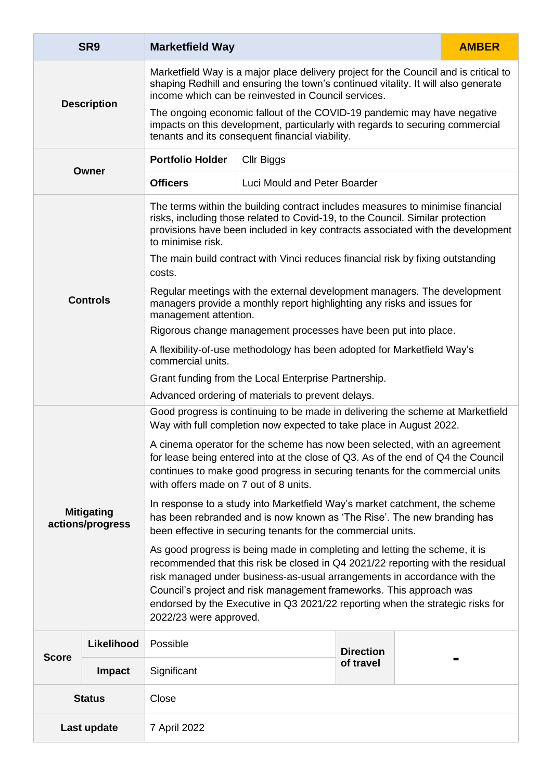<span id="page-14-1"></span><span id="page-14-0"></span>

|                    | SR9                                   | <b>Marketfield Way</b>                                                                                                                                                                                                                                                                                                                                                                                                      |                                                                                                                                                                                                             |                  | <b>AMBER</b> |  |
|--------------------|---------------------------------------|-----------------------------------------------------------------------------------------------------------------------------------------------------------------------------------------------------------------------------------------------------------------------------------------------------------------------------------------------------------------------------------------------------------------------------|-------------------------------------------------------------------------------------------------------------------------------------------------------------------------------------------------------------|------------------|--------------|--|
| <b>Description</b> |                                       | Marketfield Way is a major place delivery project for the Council and is critical to<br>shaping Redhill and ensuring the town's continued vitality. It will also generate<br>income which can be reinvested in Council services.                                                                                                                                                                                            |                                                                                                                                                                                                             |                  |              |  |
|                    |                                       |                                                                                                                                                                                                                                                                                                                                                                                                                             | The ongoing economic fallout of the COVID-19 pandemic may have negative<br>impacts on this development, particularly with regards to securing commercial<br>tenants and its consequent financial viability. |                  |              |  |
| Owner              |                                       | <b>Portfolio Holder</b>                                                                                                                                                                                                                                                                                                                                                                                                     | Cllr Biggs                                                                                                                                                                                                  |                  |              |  |
|                    |                                       | <b>Officers</b>                                                                                                                                                                                                                                                                                                                                                                                                             | Luci Mould and Peter Boarder                                                                                                                                                                                |                  |              |  |
|                    |                                       | The terms within the building contract includes measures to minimise financial<br>risks, including those related to Covid-19, to the Council. Similar protection<br>provisions have been included in key contracts associated with the development<br>to minimise risk.                                                                                                                                                     |                                                                                                                                                                                                             |                  |              |  |
|                    |                                       | costs.                                                                                                                                                                                                                                                                                                                                                                                                                      | The main build contract with Vinci reduces financial risk by fixing outstanding                                                                                                                             |                  |              |  |
|                    | <b>Controls</b>                       | Regular meetings with the external development managers. The development<br>managers provide a monthly report highlighting any risks and issues for<br>management attention.                                                                                                                                                                                                                                                |                                                                                                                                                                                                             |                  |              |  |
|                    |                                       | Rigorous change management processes have been put into place.                                                                                                                                                                                                                                                                                                                                                              |                                                                                                                                                                                                             |                  |              |  |
|                    |                                       | A flexibility-of-use methodology has been adopted for Marketfield Way's<br>commercial units.                                                                                                                                                                                                                                                                                                                                |                                                                                                                                                                                                             |                  |              |  |
|                    |                                       | Grant funding from the Local Enterprise Partnership.                                                                                                                                                                                                                                                                                                                                                                        |                                                                                                                                                                                                             |                  |              |  |
|                    |                                       | Advanced ordering of materials to prevent delays.                                                                                                                                                                                                                                                                                                                                                                           |                                                                                                                                                                                                             |                  |              |  |
|                    |                                       | Good progress is continuing to be made in delivering the scheme at Marketfield<br>Way with full completion now expected to take place in August 2022.                                                                                                                                                                                                                                                                       |                                                                                                                                                                                                             |                  |              |  |
|                    |                                       | A cinema operator for the scheme has now been selected, with an agreement<br>for lease being entered into at the close of Q3. As of the end of Q4 the Council<br>continues to make good progress in securing tenants for the commercial units<br>with offers made on 7 out of 8 units.                                                                                                                                      |                                                                                                                                                                                                             |                  |              |  |
|                    | <b>Mitigating</b><br>actions/progress | In response to a study into Marketfield Way's market catchment, the scheme<br>has been rebranded and is now known as 'The Rise'. The new branding has<br>been effective in securing tenants for the commercial units.                                                                                                                                                                                                       |                                                                                                                                                                                                             |                  |              |  |
|                    |                                       | As good progress is being made in completing and letting the scheme, it is<br>recommended that this risk be closed in Q4 2021/22 reporting with the residual<br>risk managed under business-as-usual arrangements in accordance with the<br>Council's project and risk management frameworks. This approach was<br>endorsed by the Executive in Q3 2021/22 reporting when the strategic risks for<br>2022/23 were approved. |                                                                                                                                                                                                             |                  |              |  |
| <b>Score</b>       | Likelihood                            | Possible                                                                                                                                                                                                                                                                                                                                                                                                                    |                                                                                                                                                                                                             | <b>Direction</b> |              |  |
|                    | <b>Impact</b>                         | Significant                                                                                                                                                                                                                                                                                                                                                                                                                 |                                                                                                                                                                                                             | of travel        |              |  |
| <b>Status</b>      |                                       | Close                                                                                                                                                                                                                                                                                                                                                                                                                       |                                                                                                                                                                                                             |                  |              |  |
| Last update        |                                       | 7 April 2022                                                                                                                                                                                                                                                                                                                                                                                                                |                                                                                                                                                                                                             |                  |              |  |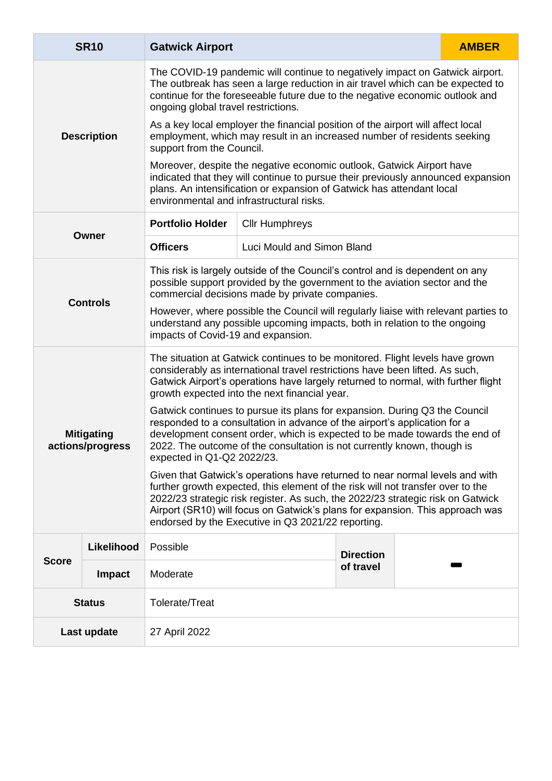<span id="page-15-1"></span><span id="page-15-0"></span>

|                                       | <b>SR10</b>        | <b>Gatwick Airport</b>                                                                                                                                                                                                                                                                                                                                                                                                                                                                                                                                                                                                                                                                                                                                                                                                                                                                                                                                                                                                                            |                            |                  |  | <b>AMBER</b> |  |
|---------------------------------------|--------------------|---------------------------------------------------------------------------------------------------------------------------------------------------------------------------------------------------------------------------------------------------------------------------------------------------------------------------------------------------------------------------------------------------------------------------------------------------------------------------------------------------------------------------------------------------------------------------------------------------------------------------------------------------------------------------------------------------------------------------------------------------------------------------------------------------------------------------------------------------------------------------------------------------------------------------------------------------------------------------------------------------------------------------------------------------|----------------------------|------------------|--|--------------|--|
|                                       |                    | The COVID-19 pandemic will continue to negatively impact on Gatwick airport.<br>The outbreak has seen a large reduction in air travel which can be expected to<br>continue for the foreseeable future due to the negative economic outlook and<br>ongoing global travel restrictions.                                                                                                                                                                                                                                                                                                                                                                                                                                                                                                                                                                                                                                                                                                                                                             |                            |                  |  |              |  |
|                                       | <b>Description</b> | As a key local employer the financial position of the airport will affect local<br>employment, which may result in an increased number of residents seeking<br>support from the Council.                                                                                                                                                                                                                                                                                                                                                                                                                                                                                                                                                                                                                                                                                                                                                                                                                                                          |                            |                  |  |              |  |
|                                       |                    | Moreover, despite the negative economic outlook, Gatwick Airport have<br>indicated that they will continue to pursue their previously announced expansion<br>plans. An intensification or expansion of Gatwick has attendant local<br>environmental and infrastructural risks.                                                                                                                                                                                                                                                                                                                                                                                                                                                                                                                                                                                                                                                                                                                                                                    |                            |                  |  |              |  |
|                                       |                    | <b>Portfolio Holder</b>                                                                                                                                                                                                                                                                                                                                                                                                                                                                                                                                                                                                                                                                                                                                                                                                                                                                                                                                                                                                                           | <b>Cllr Humphreys</b>      |                  |  |              |  |
| Owner                                 |                    | <b>Officers</b>                                                                                                                                                                                                                                                                                                                                                                                                                                                                                                                                                                                                                                                                                                                                                                                                                                                                                                                                                                                                                                   | Luci Mould and Simon Bland |                  |  |              |  |
| <b>Controls</b>                       |                    | This risk is largely outside of the Council's control and is dependent on any<br>possible support provided by the government to the aviation sector and the<br>commercial decisions made by private companies.<br>However, where possible the Council will regularly liaise with relevant parties to<br>understand any possible upcoming impacts, both in relation to the ongoing<br>impacts of Covid-19 and expansion.                                                                                                                                                                                                                                                                                                                                                                                                                                                                                                                                                                                                                           |                            |                  |  |              |  |
| <b>Mitigating</b><br>actions/progress |                    | The situation at Gatwick continues to be monitored. Flight levels have grown<br>considerably as international travel restrictions have been lifted. As such,<br>Gatwick Airport's operations have largely returned to normal, with further flight<br>growth expected into the next financial year.<br>Gatwick continues to pursue its plans for expansion. During Q3 the Council<br>responded to a consultation in advance of the airport's application for a<br>development consent order, which is expected to be made towards the end of<br>2022. The outcome of the consultation is not currently known, though is<br>expected in Q1-Q2 2022/23.<br>Given that Gatwick's operations have returned to near normal levels and with<br>further growth expected, this element of the risk will not transfer over to the<br>2022/23 strategic risk register. As such, the 2022/23 strategic risk on Gatwick<br>Airport (SR10) will focus on Gatwick's plans for expansion. This approach was<br>endorsed by the Executive in Q3 2021/22 reporting. |                            |                  |  |              |  |
| <b>Score</b>                          | Likelihood         | Possible                                                                                                                                                                                                                                                                                                                                                                                                                                                                                                                                                                                                                                                                                                                                                                                                                                                                                                                                                                                                                                          |                            | <b>Direction</b> |  |              |  |
|                                       | <b>Impact</b>      | Moderate                                                                                                                                                                                                                                                                                                                                                                                                                                                                                                                                                                                                                                                                                                                                                                                                                                                                                                                                                                                                                                          |                            | of travel        |  |              |  |
| <b>Status</b>                         |                    | Tolerate/Treat                                                                                                                                                                                                                                                                                                                                                                                                                                                                                                                                                                                                                                                                                                                                                                                                                                                                                                                                                                                                                                    |                            |                  |  |              |  |
| Last update                           |                    | 27 April 2022                                                                                                                                                                                                                                                                                                                                                                                                                                                                                                                                                                                                                                                                                                                                                                                                                                                                                                                                                                                                                                     |                            |                  |  |              |  |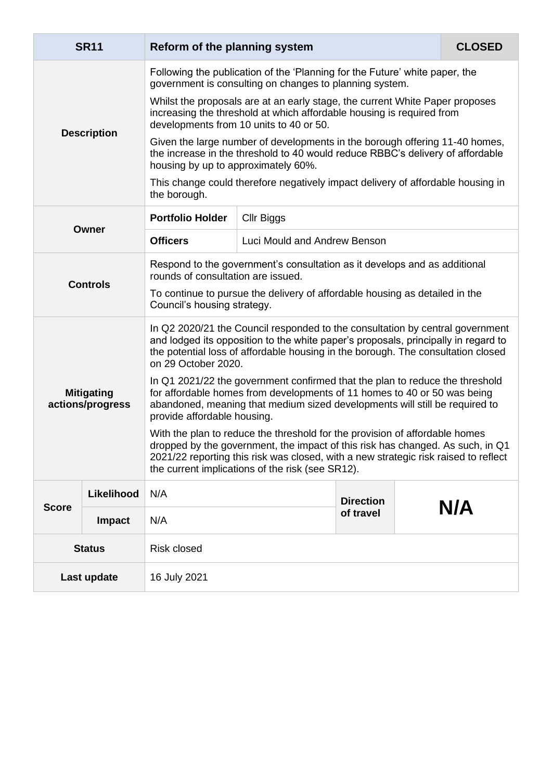<span id="page-16-0"></span>

|                                       | <b>SR11</b>     | Reform of the planning system                                                                                                                                                                                                                                                                            |                                                                                 |                  |  | <b>CLOSED</b> |
|---------------------------------------|-----------------|----------------------------------------------------------------------------------------------------------------------------------------------------------------------------------------------------------------------------------------------------------------------------------------------------------|---------------------------------------------------------------------------------|------------------|--|---------------|
| <b>Description</b>                    |                 | Following the publication of the 'Planning for the Future' white paper, the<br>government is consulting on changes to planning system.                                                                                                                                                                   |                                                                                 |                  |  |               |
|                                       |                 | Whilst the proposals are at an early stage, the current White Paper proposes<br>increasing the threshold at which affordable housing is required from<br>developments from 10 units to 40 or 50.                                                                                                         |                                                                                 |                  |  |               |
|                                       |                 | Given the large number of developments in the borough offering 11-40 homes,<br>the increase in the threshold to 40 would reduce RBBC's delivery of affordable<br>housing by up to approximately 60%.                                                                                                     |                                                                                 |                  |  |               |
|                                       |                 | the borough.                                                                                                                                                                                                                                                                                             | This change could therefore negatively impact delivery of affordable housing in |                  |  |               |
|                                       |                 | <b>Portfolio Holder</b>                                                                                                                                                                                                                                                                                  | Cllr Biggs                                                                      |                  |  |               |
| <b>Owner</b>                          |                 | <b>Officers</b>                                                                                                                                                                                                                                                                                          | Luci Mould and Andrew Benson                                                    |                  |  |               |
|                                       | <b>Controls</b> | Respond to the government's consultation as it develops and as additional<br>rounds of consultation are issued.                                                                                                                                                                                          |                                                                                 |                  |  |               |
|                                       |                 | To continue to pursue the delivery of affordable housing as detailed in the<br>Council's housing strategy.                                                                                                                                                                                               |                                                                                 |                  |  |               |
| <b>Mitigating</b><br>actions/progress |                 | In Q2 2020/21 the Council responded to the consultation by central government<br>and lodged its opposition to the white paper's proposals, principally in regard to<br>the potential loss of affordable housing in the borough. The consultation closed<br>on 29 October 2020.                           |                                                                                 |                  |  |               |
|                                       |                 | In Q1 2021/22 the government confirmed that the plan to reduce the threshold<br>for affordable homes from developments of 11 homes to 40 or 50 was being<br>abandoned, meaning that medium sized developments will still be required to<br>provide affordable housing.                                   |                                                                                 |                  |  |               |
|                                       |                 | With the plan to reduce the threshold for the provision of affordable homes<br>dropped by the government, the impact of this risk has changed. As such, in Q1<br>2021/22 reporting this risk was closed, with a new strategic risk raised to reflect<br>the current implications of the risk (see SR12). |                                                                                 |                  |  |               |
| <b>Score</b>                          | Likelihood      | N/A                                                                                                                                                                                                                                                                                                      |                                                                                 | <b>Direction</b> |  |               |
|                                       | Impact          | N/A                                                                                                                                                                                                                                                                                                      |                                                                                 | of travel        |  | N/A           |
| <b>Status</b>                         |                 | <b>Risk closed</b>                                                                                                                                                                                                                                                                                       |                                                                                 |                  |  |               |
| Last update                           |                 | 16 July 2021                                                                                                                                                                                                                                                                                             |                                                                                 |                  |  |               |